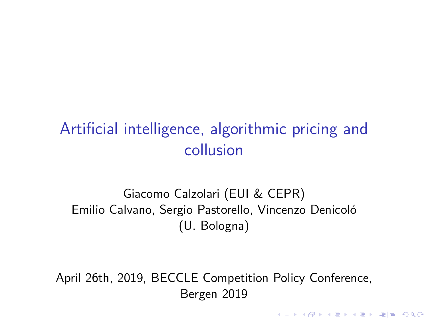### Artificial intelligence, algorithmic pricing and collusion

#### Giacomo Calzolari (EUI & CEPR) Emilio Calvano, Sergio Pastorello, Vincenzo Denicoló (U. Bologna)

April 26th, 2019, BECCLE Competition Policy Conference, Bergen 2019

K ロ ▶ K @ ▶ K 할 ▶ K 할 ▶ [할 게 이익어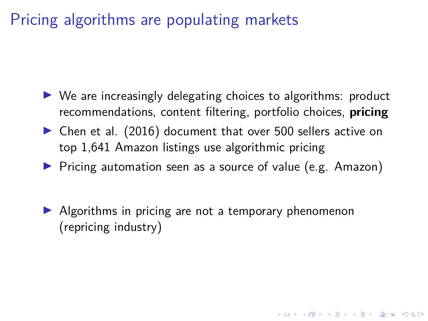### Pricing algorithms are populating markets

- $\triangleright$  We are increasingly delegating choices to algorithms: product recommendations, content filtering, portfolio choices, **pricing**
- $\triangleright$  Chen et al. (2016) document that over 500 sellers active on top 1,641 Amazon listings use algorithmic pricing
- $\triangleright$  Pricing automation seen as a source of value (e.g. Amazon)

KID KAR KE KE KE HE YO

 $\blacktriangleright$  Algorithms in pricing are not a temporary phenomenon (repricing industry)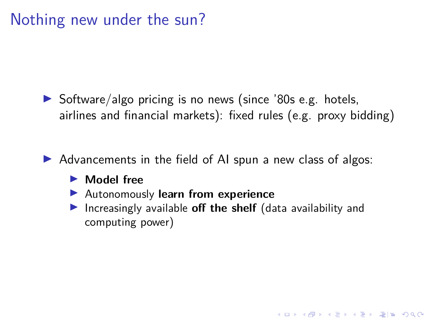#### Nothing new under the sun?

 $\triangleright$  Software/algo pricing is no news (since '80s e.g. hotels, airlines and financial markets): fixed rules (e.g. proxy bidding)

 $\triangleright$  Advancements in the field of AI spun a new class of algos:

#### **Model free**

- **Autonomously learn from experience**
- **Increasingly available off the shelf** (data availability and computing power)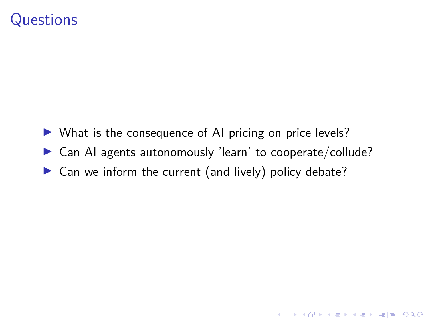#### **Questions**

- $\triangleright$  What is the consequence of AI pricing on price levels?
- $\blacktriangleright$  Can AI agents autonomously 'learn' to cooperate/collude?

K ロ ▶ K @ ▶ K 할 ▶ K 할 ▶ [ 할 날 수 있어

 $\triangleright$  Can we inform the current (and lively) policy debate?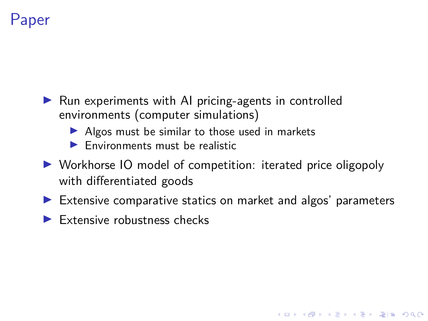### Paper

- $\blacktriangleright$  Run experiments with AI pricing-agents in controlled environments (computer simulations)
	- $\blacktriangleright$  Algos must be similar to those used in markets
	- $\blacktriangleright$  Environments must be realistic
- ▶ Workhorse IO model of competition: iterated price oligopoly with differentiated goods
- $\blacktriangleright$  Extensive comparative statics on market and algos' parameters

KID KAR KERKER EN OQO

 $\blacktriangleright$  Extensive robustness checks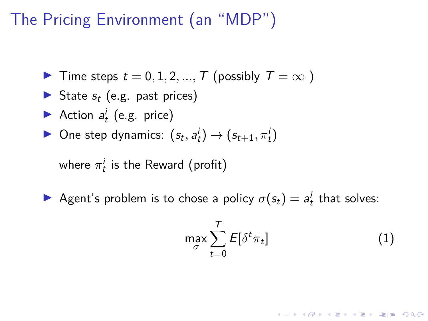### The Pricing Environment (an "MDP")

- $\triangleright$  Time steps  $t = 0, 1, 2, ..., T$  (possibly  $T = ∞$ )
- State  $s_t$  (e.g. past prices)
- Action  $a_t^i$  (e.g. price)
- ▶ One step dynamics:  $(s_t, a_t^i)$  →  $(s_{t+1}, \pi_t^i)$

where  $\pi^i_t$  is the Reward (profit)

Agent's problem is to chose a policy  $\sigma(s_t) = a_t^i$  that solves:

$$
\max_{\sigma} \sum_{t=0}^{T} E[\delta^t \pi_t]
$$
 (1)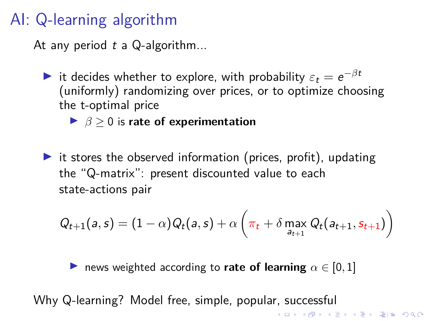### AI: Q-learning algorithm

At any period  $t$  a Q-algorithm...

- ► it decides whether to explore, with probability  $\varepsilon_t = e^{-\beta t}$ (uniformly) randomizing over prices, or to optimize choosing the t-optimal price
	- $\blacktriangleright$   $\beta > 0$  is rate of experimentation
- $\triangleright$  it stores the observed information (prices, profit), updating the "Q-matrix": present discounted value to each state-actions pair

$$
Q_{t+1}(a,s)=(1-\alpha)Q_t(a,s)+\alpha\left(\pi_t+\delta \max_{a_{t+1}} Q_t(a_{t+1}, s_{t+1})\right)
$$

-<br>◆ロ・→ 伊 → → ミ → → ミ → (三) = 10,00

**If** news weighted according to **rate of learning**  $\alpha \in [0, 1]$ 

Why Q-learning? Model free, simple, popular, successful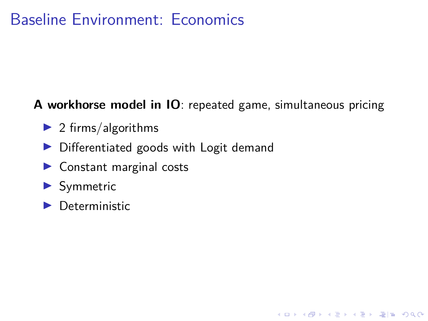### Baseline Environment: Economics

#### **A workhorse model in IO**: repeated game, simultaneous pricing

KID KAR KERKER EN OQO

- $\blacktriangleright$  2 firms/algorithms
- $\triangleright$  Differentiated goods with Logit demand
- $\blacktriangleright$  Constant marginal costs
- $\blacktriangleright$  Symmetric
- $\blacktriangleright$  Deterministic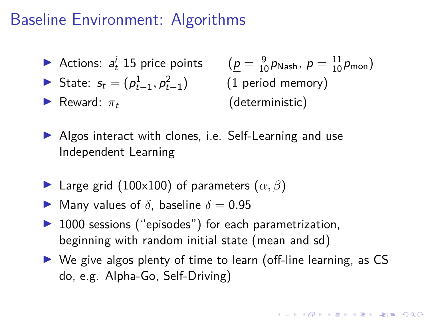#### Baseline Environment: Algorithms

- Actions:  $a_t^i$  15 price points  $(p =$
- **►** State:  $s_t = (p_{t-1}^1, p_{t-1}^2)$
- 

 $\frac{9}{10}$  $\rho$ Nash,  $\overline{p} = \frac{11}{10} p_{\text{mon}}$ ) ) (1 period memory) **I** Reward:  $\pi_t$  (deterministic)

- $\blacktriangleright$  Algos interact with clones, i.e. Self-Learning and use Independent Learning
- **I** Large grid (100x100) of parameters  $(\alpha, \beta)$
- **I** Many values of  $\delta$ , baseline  $\delta = 0.95$
- $\blacktriangleright$  1000 sessions ("episodes") for each parametrization, beginning with random initial state (mean and sd)
- $\triangleright$  We give algos plenty of time to learn (off-line learning, as CS do, e.g. Alpha-Go, Self-Driving)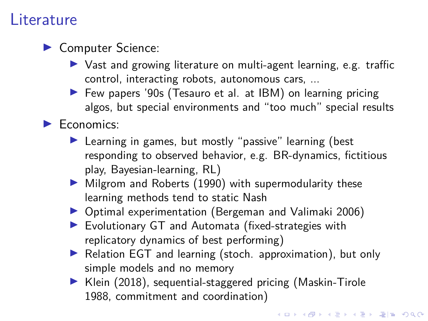#### **Literature**

#### ▶ Computer Science:

- $\triangleright$  Vast and growing literature on multi-agent learning, e.g. traffic control, interacting robots, autonomous cars, ...
- ▶ Few papers '90s (Tesauro et al. at IBM) on learning pricing algos, but special environments and "too much" special results

#### $\blacktriangleright$  Economics:

- $\blacktriangleright$  Learning in games, but mostly "passive" learning (best responding to observed behavior, e.g. BR-dynamics, fictitious play, Bayesian-learning, RL)
- $\blacktriangleright$  Milgrom and Roberts (1990) with supermodularity these learning methods tend to static Nash
- ▶ Optimal experimentation (Bergeman and Valimaki 2006)
- $\blacktriangleright$  Evolutionary GT and Automata (fixed-strategies with replicatory dynamics of best performing)
- ▶ Relation EGT and learning (stoch. approximation), but only simple models and no memory

KID KAR KE KE KE HE YO

 $\blacktriangleright$  Klein (2018), sequential-staggered pricing (Maskin-Tirole 1988, commitment and coordination)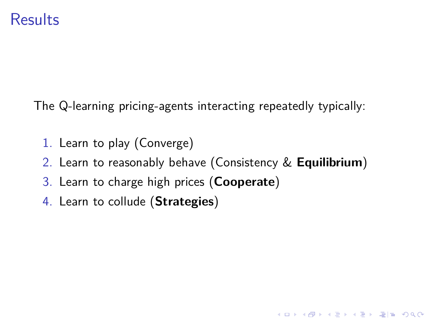#### **Results**

The Q-learning pricing-agents interacting repeatedly typically:

- 1. Learn to play (Converge)
- 2. Learn to reasonably behave (Consistency & **Equilibrium**)

- 3. Learn to charge high prices (**Cooperate**)
- 4. Learn to collude (**Strategies**)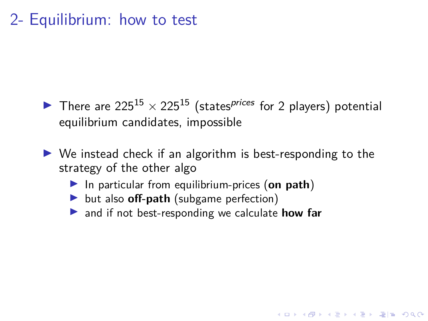### 2- Equilibrium: how to test

- There are  $225^{15} \times 225^{15}$  (states *prices* for 2 players) potential equilibrium candidates, impossible
- $\triangleright$  We instead check if an algorithm is best-responding to the strategy of the other algo

**KOD KAD KED KED EE OQO** 

- **In particular from equilibrium-prices (on path)**
- **but also off-path** (subgame perfection)
- **If** and if not best-responding we calculate **how far**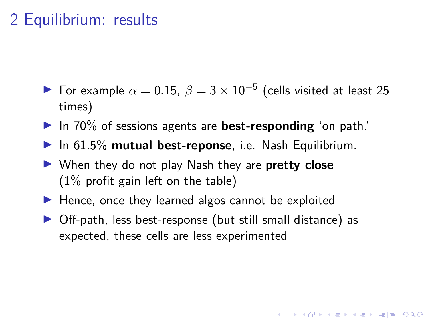### 2 Equilibrium: results

- $\blacktriangleright$  For example  $\alpha = 0.15$ ,  $\beta = 3 \times 10^{-5}$  (cells visited at least 25 times)
- In 70% of sessions agents are **best-responding** 'on path.'
- **In 61.5% mutual best-reponse**, i.e. Nash Equilibrium.
- I When they do not play Nash they are **pretty close**  $(1\%$  profit gain left on the table)
- $\blacktriangleright$  Hence, once they learned algos cannot be exploited
- $\triangleright$  Off-path, less best-response (but still small distance) as expected, these cells are less experimented

**KOD KAD KED KED EN AQO**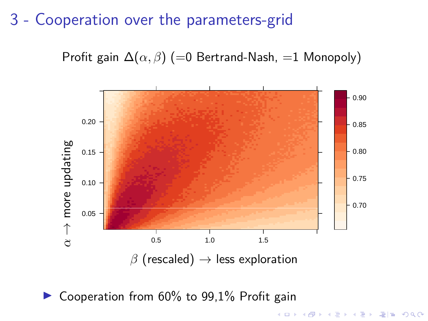#### 3 - Cooperation over the parameters-grid

Profit gain ∆(*α, β*) (=0 Bertrand-Nash, =1 Monopoly)



K ロ > K @ ▶ K 경 ▶ K 경 ▶ 경(日) 9,900

 $\triangleright$  Cooperation from 60% to 99,1% Profit gain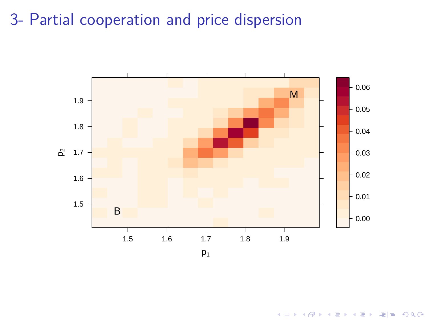3- Partial cooperation and price dispersion



K ロ ▶ K 個 ▶ K 결 ▶ K 결 ▶ (결)됨. 9 Q @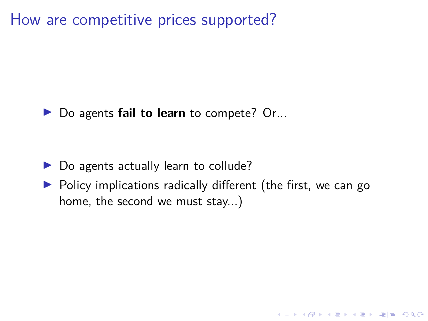How are competitive prices supported?

▶ Do agents **fail to learn** to compete? Or...

- $\triangleright$  Do agents actually learn to collude?
- $\triangleright$  Policy implications radically different (the first, we can go home, the second we must stay...)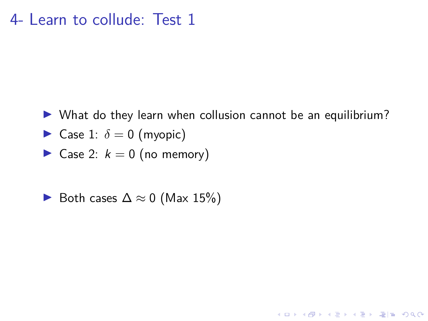#### 4- Learn to collude: Test 1

 $\triangleright$  What do they learn when collusion cannot be an equilibrium?

K ロ ▶ K @ ▶ K 할 ▶ K 할 ▶ [콜] 할 수 있습니다

- **I** Case 1:  $\delta = 0$  (myopic)
- Case 2:  $k = 0$  (no memory)

► Both cases 
$$
\Delta \approx 0
$$
 (Max 15%)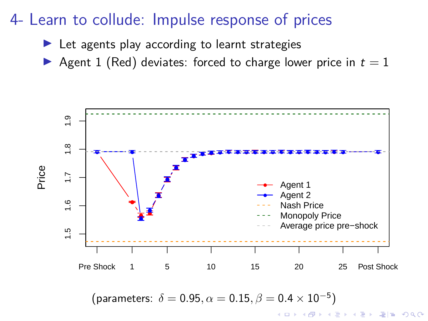#### 4- Learn to collude: Impulse response of prices

- $\blacktriangleright$  Let agents play according to learnt strategies
- Agent 1 (Red) deviates: forced to charge lower price in  $t = 1$

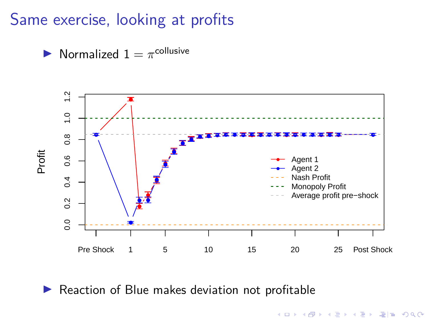### Same exercise, looking at profits

 $\blacktriangleright$  Normalized  $1 = \pi^{\text{collusive}}$ 



K ロ ▶ K @ ▶ K 할 ▶ K 할 ▶ [활]할 게 이익어

 $\blacktriangleright$  Reaction of Blue makes deviation not profitable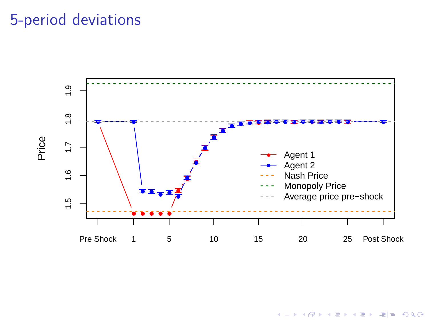#### 5-period deviations



K ロ ▶ K @ ▶ K 할 ▶ K 할 ▶ [ 할 날 수 있어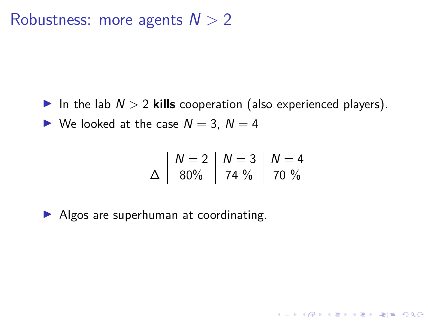#### Robustness: more agents N *>* 2

In the lab  $N > 2$  kills cooperation (also experienced players).  $\triangleright$  We looked at the case  $N = 3$ ,  $N = 4$ 

$$
\begin{array}{c|c|c|c|c|c|c|c|c} & N = 2 & N = 3 & N = 4 \\ \hline \Delta & 80\% & 74\% & 70\% \end{array}
$$

KID KAR KE KE KE HE YO

 $\blacktriangleright$  Algos are superhuman at coordinating.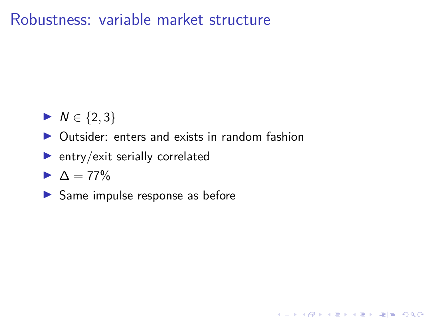#### Robustness: variable market structure

- $N \in \{2, 3\}$
- $\triangleright$  Outsider: enters and exists in random fashion

K ロ ▶ K @ ▶ K 할 ▶ K 할 ▶ [할 게 이익어

- $\blacktriangleright$  entry/exit serially correlated
- $\triangleright$   $\Delta = 77\%$
- $\blacktriangleright$  Same impulse response as before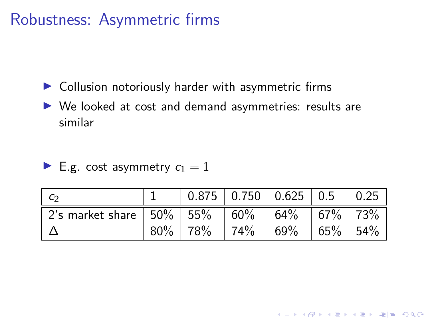#### Robustness: Asymmetric firms

 $\triangleright$  Collusion notoriously harder with asymmetric firms

 $\triangleright$  We looked at cost and demand asymmetries: results are similar

E.g. cost asymmetry  $c_1 = 1$ 

| l Co                                                 |        |         | $0.875$   0.750   0.625   0.5   0.25 |              |  |
|------------------------------------------------------|--------|---------|--------------------------------------|--------------|--|
| 2's market share   50%   55%   60%   64%   67%   73% |        |         |                                      |              |  |
|                                                      | $80\%$ | $ 78\%$ | $74\%$ 69%                           | $ 65\% 54\%$ |  |

**K ロ X K 레 X K 코 X K 코 X 코 코 H H YO Q O K**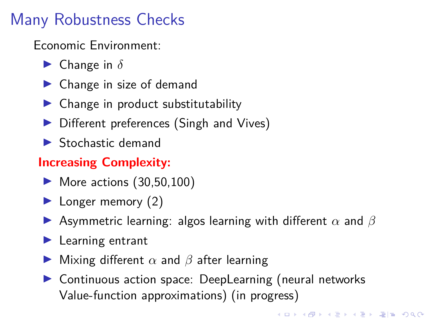## Many Robustness Checks

Economic Environment:

- $\blacktriangleright$  Change in  $\delta$
- $\blacktriangleright$  Change in size of demand
- $\triangleright$  Change in product substitutability
- $\triangleright$  Different preferences (Singh and Vives)
- $\blacktriangleright$  Stochastic demand

#### **Increasing Complexity:**

- $\blacktriangleright$  More actions (30,50,100)
- $\blacktriangleright$  Longer memory (2)
- I Asymmetric learning: algos learning with different *α* and *β*
- $\blacktriangleright$  Learning entrant
- **I** Mixing different  $\alpha$  and  $\beta$  after learning
- $\triangleright$  Continuous action space: DeepLearning (neural networks Value-function approximations) (in progress)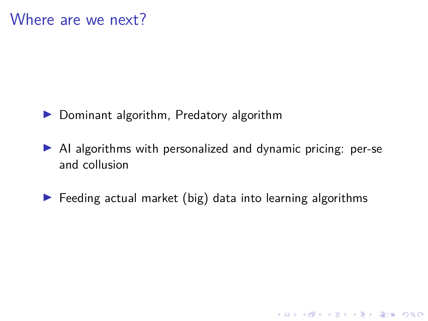- $\blacktriangleright$  Dominant algorithm, Predatory algorithm
- $\blacktriangleright$  AI algorithms with personalized and dynamic pricing: per-se and collusion
- $\blacktriangleright$  Feeding actual market (big) data into learning algorithms

K ロ ▶ K @ ▶ K 할 ▶ K 할 ▶ [할 게 이익어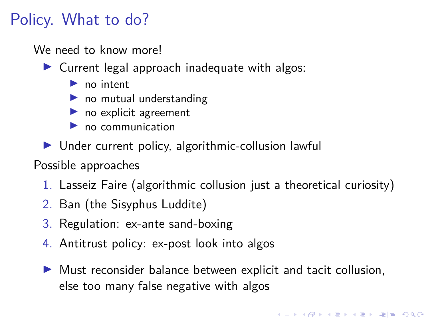### Policy. What to do?

We need to know more!

 $\triangleright$  Current legal approach inadequate with algos:

- $\blacktriangleright$  no intent
- $\blacktriangleright$  no mutual understanding
- $\blacktriangleright$  no explicit agreement
- $\blacktriangleright$  no communication
- $\triangleright$  Under current policy, algorithmic-collusion lawful

Possible approaches

- 1. Lasseiz Faire (algorithmic collusion just a theoretical curiosity)
- 2. Ban (the Sisyphus Luddite)
- 3. Regulation: ex-ante sand-boxing
- 4. Antitrust policy: ex-post look into algos
- $\triangleright$  Must reconsider balance between explicit and tacit collusion, else too many false negative with algos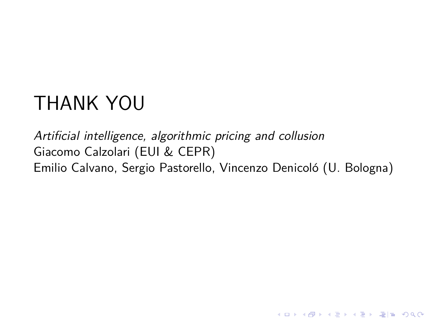# THANK YOU

#### Artificial intelligence, algorithmic pricing and collusion Giacomo Calzolari (EUI & CEPR) Emilio Calvano, Sergio Pastorello, Vincenzo Denicoló (U. Bologna)

KID KAR KERKER EN OQO